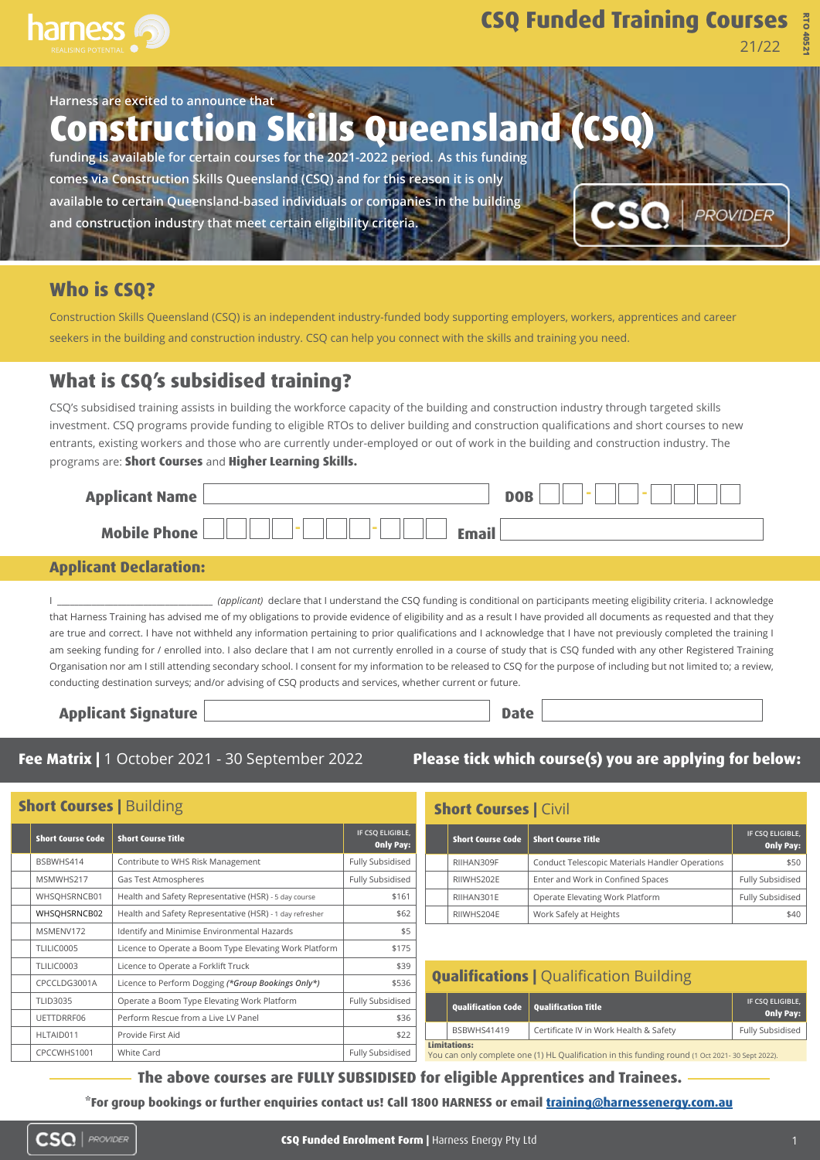

# **CSQ Funded Training Courses**

21/22

**RTO 40521**

**Harness are excited to announce that Construction Skills Queensland (CSQ) funding is available for certain courses for the 2021-2022 period. As this funding comes via Construction Skills Queensland (CSQ) and for this reason it is only available to certain Queensland-based individuals or companies in the building**  PROVIDER **and construction industry that meet certain eligibility criteria.**

## **Who is CSQ?**

Construction Skills Queensland (CSQ) is an independent industry-funded body supporting employers, workers, apprentices and career seekers in the building and construction industry. CSQ can help you connect with the skills and training you need.

## **What is CSQ's subsidised training?**

CSQ's subsidised training assists in building the workforce capacity of the building and construction industry through targeted skills investment. CSQ programs provide funding to eligible RTOs to deliver building and construction qualifications and short courses to new entrants, existing workers and those who are currently under-employed or out of work in the building and construction industry. The programs are: **Short Courses** and **Higher Learning Skills.**

| <b>Applicant Name</b> |              | <b>DOR</b> |
|-----------------------|--------------|------------|
| <b>Mobile Phone</b>   | <b>Email</b> |            |

#### **Applicant Declaration:**

I \_\_\_\_\_\_\_\_\_\_\_\_\_\_\_\_\_\_\_\_\_\_\_\_\_\_\_\_\_\_\_\_\_\_\_\_ *(applicant)* declare that I understand the CSQ funding is conditional on participants meeting eligibility criteria. I acknowledge that Harness Training has advised me of my obligations to provide evidence of eligibility and as a result I have provided all documents as requested and that they are true and correct. I have not withheld any information pertaining to prior qualifications and I acknowledge that I have not previously completed the training I am seeking funding for / enrolled into. I also declare that I am not currently enrolled in a course of study that is CSQ funded with any other Registered Training Organisation nor am I still attending secondary school. I consent for my information to be released to CSQ for the purpose of including but not limited to; a review, conducting destination surveys; and/or advising of CSQ products and services, whether current or future.

**Applicant Signature Date** 

| Fee Matrix   1 October 2021 - 30 September 2022 |  |  |  |
|-------------------------------------------------|--|--|--|

**Please tick which course(s) you are applying for below:**

| <b>Short Courses   Building</b> |                          |                                                          |                                      |  |
|---------------------------------|--------------------------|----------------------------------------------------------|--------------------------------------|--|
|                                 | <b>Short Course Code</b> | <b>Short Course Title</b>                                | IF CSQ ELIGIBLE,<br><b>Only Pay:</b> |  |
|                                 | BSBWHS414                | Contribute to WHS Risk Management                        | <b>Fully Subsidised</b>              |  |
|                                 | MSMWHS217                | Gas Test Atmospheres                                     | <b>Fully Subsidised</b>              |  |
|                                 | WHSQHSRNCB01             | Health and Safety Representative (HSR) - 5 day course    | \$161                                |  |
|                                 | WHSQHSRNCB02             | Health and Safety Representative (HSR) - 1 day refresher | \$62                                 |  |
|                                 | MSMENV172                | Identify and Minimise Environmental Hazards              | \$5                                  |  |
|                                 | TLILIC0005               | Licence to Operate a Boom Type Elevating Work Platform   | \$175                                |  |
|                                 | TLILIC0003               | Licence to Operate a Forklift Truck                      | \$39                                 |  |
|                                 | CPCCLDG3001A             | Licence to Perform Dogging (*Group Bookings Only*)       | \$536                                |  |
|                                 | <b>TLID3035</b>          | Operate a Boom Type Elevating Work Platform              | <b>Fully Subsidised</b>              |  |
|                                 | UETTDRRF06               | Perform Rescue from a Live LV Panel                      | \$36                                 |  |
|                                 | HITAIN011                | Provide First Aid                                        | ≮つつ                                  |  |

CPCCWHS1001 White Card CPCCWHS1001 White Card CPCCWHS1001 Pully Subsidised

## **Short Courses | Civil**

| <b>Short Course Code</b> | <b>Short Course Title</b>                       | IF CSQ ELIGIBLE,<br><b>Only Pay:</b> |
|--------------------------|-------------------------------------------------|--------------------------------------|
| RIIHAN309F               | Conduct Telescopic Materials Handler Operations | \$50                                 |
| RIIWHS202E               | Enter and Work in Confined Spaces               | Fully Subsidised                     |
| RIIHAN301E               | Operate Elevating Work Platform                 | Fully Subsidised                     |
| RIIWHS204E               | Work Safely at Heights                          | \$40                                 |

| <b>Qualifications   Qualification Building</b>                                                                          |                                          |                                        |                                      |  |
|-------------------------------------------------------------------------------------------------------------------------|------------------------------------------|----------------------------------------|--------------------------------------|--|
|                                                                                                                         | Qualification Code   Qualification Title |                                        | IF CSQ ELIGIBLE,<br><b>Only Pay:</b> |  |
|                                                                                                                         | <b>BSBWHS41419</b>                       | Certificate IV in Work Health & Safety | Fully Subsidised                     |  |
| <b>Limitations:</b><br>You can only complete one (1) HL Qualification in this funding round (1 Oct 2021- 30 Sept 2022). |                                          |                                        |                                      |  |

**The above courses are FULLY SUBSIDISED for eligible Apprentices and Trainees.** 

**\*For group bookings or further enquiries contact us! Call 1800 HARNESS or email training@harnessenergy.com.au**